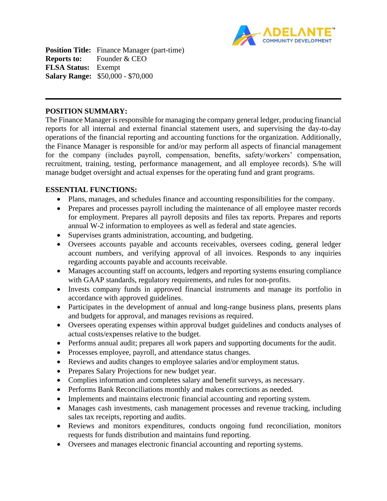

**Position Title:** Finance Manager (part-time) **Reports to:** Founder & CEO **FLSA Status:** Exempt **Salary Range:** \$50,000 - \$70,000

#### **POSITION SUMMARY:**

The Finance Manager is responsible for managing the company general ledger, producing financial reports for all internal and external financial statement users, and supervising the day-to-day operations of the financial reporting and accounting functions for the organization. Additionally, the Finance Manager is responsible for and/or may perform all aspects of financial management for the company (includes payroll, compensation, benefits, safety/workers' compensation, recruitment, training, testing, performance management, and all employee records). S/he will manage budget oversight and actual expenses for the operating fund and grant programs.

#### **ESSENTIAL FUNCTIONS:**

- Plans, manages, and schedules finance and accounting responsibilities for the company.
- Prepares and processes payroll including the maintenance of all employee master records for employment. Prepares all payroll deposits and files tax reports. Prepares and reports annual W-2 information to employees as well as federal and state agencies.
- Supervises grants administration, accounting, and budgeting.
- Oversees accounts payable and accounts receivables, oversees coding, general ledger account numbers, and verifying approval of all invoices. Responds to any inquiries regarding accounts payable and accounts receivable.
- Manages accounting staff on accounts, ledgers and reporting systems ensuring compliance with GAAP standards, regulatory requirements, and rules for non-profits.
- Invests company funds in approved financial instruments and manage its portfolio in accordance with approved guidelines.
- Participates in the development of annual and long-range business plans, presents plans and budgets for approval, and manages revisions as required.
- Oversees operating expenses within approval budget guidelines and conducts analyses of actual costs/expenses relative to the budget.
- Performs annual audit; prepares all work papers and supporting documents for the audit.
- Processes employee, payroll, and attendance status changes.
- Reviews and audits changes to employee salaries and/or employment status.
- Prepares Salary Projections for new budget year.
- Complies information and completes salary and benefit surveys, as necessary.
- Performs Bank Reconciliations monthly and makes corrections as needed.
- Implements and maintains electronic financial accounting and reporting system.
- Manages cash investments, cash management processes and revenue tracking, including sales tax receipts, reporting and audits.
- Reviews and monitors expenditures, conducts ongoing fund reconciliation, monitors requests for funds distribution and maintains fund reporting.
- Oversees and manages electronic financial accounting and reporting systems.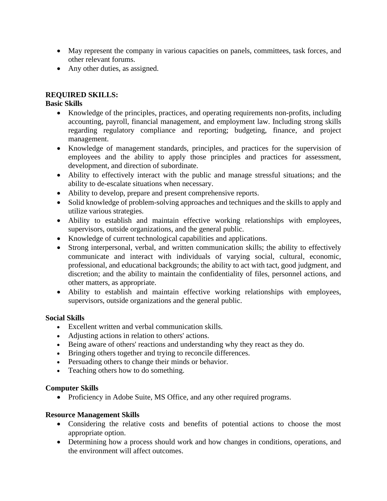- May represent the company in various capacities on panels, committees, task forces, and other relevant forums.
- Any other duties, as assigned.

# **REQUIRED SKILLS:**

## **Basic Skills**

- Knowledge of the principles, practices, and operating requirements non-profits, including accounting, payroll, financial management, and employment law. Including strong skills regarding regulatory compliance and reporting; budgeting, finance, and project management.
- Knowledge of management standards, principles, and practices for the supervision of employees and the ability to apply those principles and practices for assessment, development, and direction of subordinate.
- Ability to effectively interact with the public and manage stressful situations; and the ability to de-escalate situations when necessary.
- Ability to develop, prepare and present comprehensive reports.
- Solid knowledge of problem-solving approaches and techniques and the skills to apply and utilize various strategies.
- Ability to establish and maintain effective working relationships with employees, supervisors, outside organizations, and the general public.
- Knowledge of current technological capabilities and applications.
- Strong interpersonal, verbal, and written communication skills; the ability to effectively communicate and interact with individuals of varying social, cultural, economic, professional, and educational backgrounds; the ability to act with tact, good judgment, and discretion; and the ability to maintain the confidentiality of files, personnel actions, and other matters, as appropriate.
- Ability to establish and maintain effective working relationships with employees, supervisors, outside organizations and the general public.

### **Social Skills**

- Excellent written and verbal communication skills.
- Adjusting actions in relation to others' actions.
- Being aware of others' reactions and understanding why they react as they do.
- Bringing others together and trying to reconcile differences.
- Persuading others to change their minds or behavior.
- Teaching others how to do something.

### **Computer Skills**

• Proficiency in Adobe Suite, MS Office, and any other required programs.

# **Resource Management Skills**

- Considering the relative costs and benefits of potential actions to choose the most appropriate option.
- Determining how a process should work and how changes in conditions, operations, and the environment will affect outcomes.